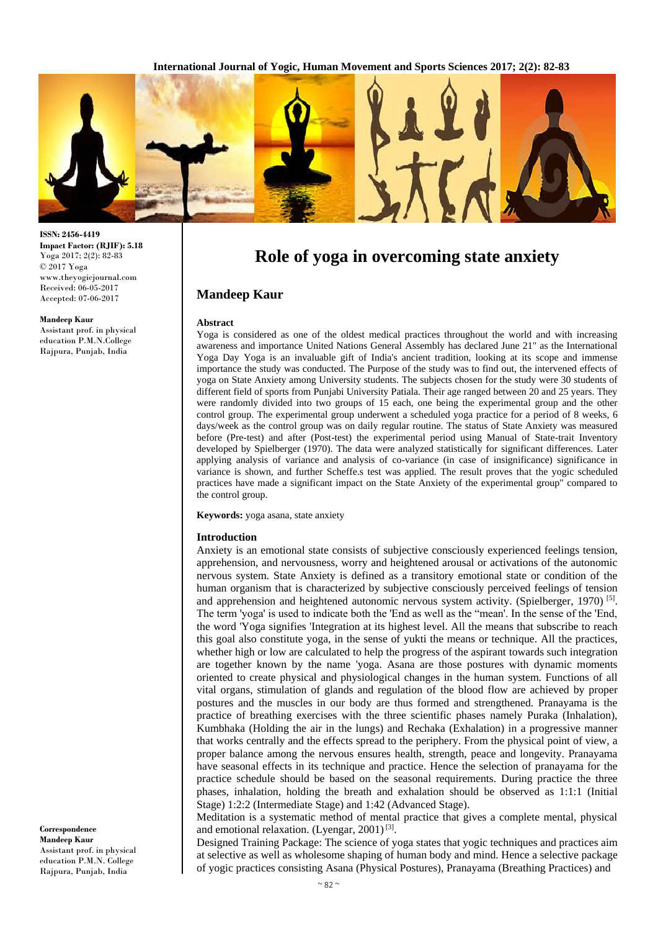

# **Role of yoga in overcoming state anxiety**

## **Mandeep Kaur**

#### **Abstract**

Yoga is considered as one of the oldest medical practices throughout the world and with increasing awareness and importance United Nations General Assembly has declared June 21" as the International Yoga Day Yoga is an invaluable gift of India's ancient tradition, looking at its scope and immense importance the study was conducted. The Purpose of the study was to find out, the intervened effects of yoga on State Anxiety among University students. The subjects chosen for the study were 30 students of different field of sports from Punjabi University Patiala. Their age ranged between 20 and 25 years. They were randomly divided into two groups of 15 each, one being the experimental group and the other control group. The experimental group underwent a scheduled yoga practice for a period of 8 weeks, 6 days/week as the control group was on daily regular routine. The status of State Anxiety was measured before (Pre-test) and after (Post-test) the experimental period using Manual of State-trait Inventory developed by Spielberger (1970). The data were analyzed statistically for significant differences. Later applying analysis of variance and analysis of co-variance (in case of insignificance) significance in variance is shown, and further Scheffe.s test was applied. The result proves that the yogic scheduled practices have made a significant impact on the State Anxiety of the experimental group" compared to the control group.

**Keywords:** yoga asana, state anxiety

#### **Introduction**

Anxiety is an emotional state consists of subjective consciously experienced feelings tension, apprehension, and nervousness, worry and heightened arousal or activations of the autonomic nervous system. State Anxiety is defined as a transitory emotional state or condition of the human organism that is characterized by subjective consciously perceived feelings of tension and apprehension and heightened autonomic nervous system activity. (Spielberger, 1970)<sup>[5]</sup>. The term 'yoga' is used to indicate both the 'End as well as the "mean'. In the sense of the 'End, the word 'Yoga signifies 'Integration at its highest level. All the means that subscribe to reach this goal also constitute yoga, in the sense of yukti the means or technique. All the practices, whether high or low are calculated to help the progress of the aspirant towards such integration are together known by the name 'yoga. Asana are those postures with dynamic moments oriented to create physical and physiological changes in the human system. Functions of all vital organs, stimulation of glands and regulation of the blood flow are achieved by proper postures and the muscles in our body are thus formed and strengthened. Pranayama is the practice of breathing exercises with the three scientific phases namely Puraka (Inhalation), Kumbhaka (Holding the air in the lungs) and Rechaka (Exhalation) in a progressive manner that works centrally and the effects spread to the periphery. From the physical point of view, a proper balance among the nervous ensures health, strength, peace and longevity. Pranayama have seasonal effects in its technique and practice. Hence the selection of pranayama for the practice schedule should be based on the seasonal requirements. During practice the three phases, inhalation, holding the breath and exhalation should be observed as 1:1:1 (Initial Stage) 1:2:2 (Intermediate Stage) and 1:42 (Advanced Stage).

Meditation is a systematic method of mental practice that gives a complete mental, physical and emotional relaxation. (Lyengar, 2001)<sup>[3]</sup>.

Designed Training Package: The science of yoga states that yogic techniques and practices aim at selective as well as wholesome shaping of human body and mind. Hence a selective package of yogic practices consisting Asana (Physical Postures), Pranayama (Breathing Practices) and

**ISSN: 2456-4419 Impact Factor: (RJIF): 5.18** Yoga 2017; 2(2): 82-83 © 2017 Yoga www.theyogicjournal.com Received: 06-05-2017 Accepted: 07-06-2017

#### **Mandeep Kaur**

Assistant prof. in physical education P.M.N.College Rajpura, Punjab, India

**Correspondence Mandeep Kaur** Assistant prof. in physical education P.M.N. College Rajpura, Punjab, India